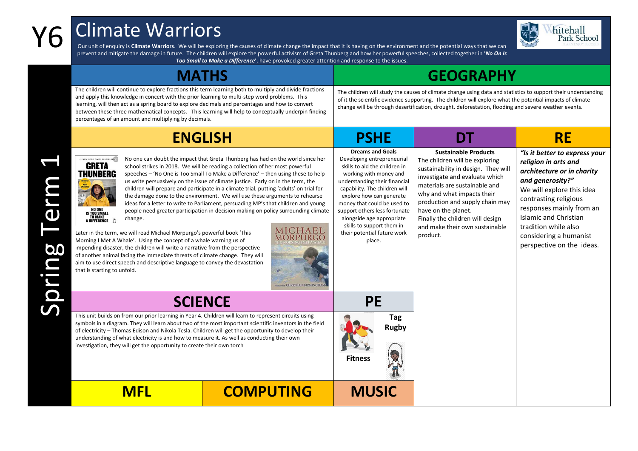## Y6 Climate Warriors



Our unit of enquiry is **Climate Warriors**. We will be exploring the causes of climate change the impact that it is having on the environment and the potential ways that we can prevent and mitigate the damage in future. The children will explore the powerful activism of Greta Thunberg and how her powerful speeches, collected together in '*No On Is* 

| Too Small to Make a Difference', have provoked greater attention and response to the issues.                                                                                                                                                                                                                                                                                                                                                                                                                                                                                                                                                                                                                                                                                                                                                                                                                                                                                                                                                                                                                                                                                                                                                                                                                                                   |                                                                                                                                                                                                                                                                                                                                                                                   |                                                                                                                                                                                                                                                                                                                                                   |                                                                                                                                                                                                                                                                                                   |  |  |  |
|------------------------------------------------------------------------------------------------------------------------------------------------------------------------------------------------------------------------------------------------------------------------------------------------------------------------------------------------------------------------------------------------------------------------------------------------------------------------------------------------------------------------------------------------------------------------------------------------------------------------------------------------------------------------------------------------------------------------------------------------------------------------------------------------------------------------------------------------------------------------------------------------------------------------------------------------------------------------------------------------------------------------------------------------------------------------------------------------------------------------------------------------------------------------------------------------------------------------------------------------------------------------------------------------------------------------------------------------|-----------------------------------------------------------------------------------------------------------------------------------------------------------------------------------------------------------------------------------------------------------------------------------------------------------------------------------------------------------------------------------|---------------------------------------------------------------------------------------------------------------------------------------------------------------------------------------------------------------------------------------------------------------------------------------------------------------------------------------------------|---------------------------------------------------------------------------------------------------------------------------------------------------------------------------------------------------------------------------------------------------------------------------------------------------|--|--|--|
| <b>MATHS</b>                                                                                                                                                                                                                                                                                                                                                                                                                                                                                                                                                                                                                                                                                                                                                                                                                                                                                                                                                                                                                                                                                                                                                                                                                                                                                                                                   | <b>GEOGRAPHY</b>                                                                                                                                                                                                                                                                                                                                                                  |                                                                                                                                                                                                                                                                                                                                                   |                                                                                                                                                                                                                                                                                                   |  |  |  |
| The children will continue to explore fractions this term learning both to multiply and divide fractions<br>and apply this knowledge in concert with the prior learning to multi-step word problems. This<br>learning, will then act as a spring board to explore decimals and percentages and how to convert<br>between these three mathematical concepts. This learning will help to conceptually underpin finding<br>percentages of an amount and multiplying by decimals.                                                                                                                                                                                                                                                                                                                                                                                                                                                                                                                                                                                                                                                                                                                                                                                                                                                                  | The children will study the causes of climate change using data and statistics to support their understanding<br>of it the scientific evidence supporting. The children will explore what the potential impacts of climate<br>change will be through desertification, drought, deforestation, flooding and severe weather events.                                                 |                                                                                                                                                                                                                                                                                                                                                   |                                                                                                                                                                                                                                                                                                   |  |  |  |
| <b>ENGLISH</b>                                                                                                                                                                                                                                                                                                                                                                                                                                                                                                                                                                                                                                                                                                                                                                                                                                                                                                                                                                                                                                                                                                                                                                                                                                                                                                                                 | <b>PSHE</b>                                                                                                                                                                                                                                                                                                                                                                       | DT                                                                                                                                                                                                                                                                                                                                                | <b>RE</b>                                                                                                                                                                                                                                                                                         |  |  |  |
| No one can doubt the impact that Greta Thunberg has had on the world since her<br><b>FI NEW YORK TIMES BESTSELLEROW</b><br><b>GRETA</b><br>school strikes in 2018. We will be reading a collection of her most powerful<br>THUNBERG<br>speeches - 'No One is Too Small To Make a Difference' - then using these to help<br>us write persuasively on the issue of climate justice. Early on in the term, the<br>children will prepare and participate in a climate trial, putting 'adults' on trial for<br>the damage done to the environment. We will use these arguments to rehearse<br>ideas for a letter to write to Parliament, persuading MP's that children and young<br>people need greater participation in decision making on policy surrounding climate<br><b>S TOO SMALL</b><br><b>TO MAKE</b><br>change.<br>A DIFFERENCE <b>6</b><br><b>MICHAEL</b><br>Later in the term, we will read Michael Morpurgo's powerful book 'This<br>MOR PURG(<br>Morning I Met A Whale'. Using the concept of a whale warning us of<br>impending disaster, the children will write a narrative from the perspective<br>of another animal facing the immediate threats of climate change. They will<br>aim to use direct speech and descriptive language to convey the devastation<br>that is starting to unfold.<br><b>Marchy CHRISTIAN BIRMINGHA</b> | <b>Dreams and Goals</b><br>Developing entrepreneurial<br>skills to aid the children in<br>working with money and<br>understanding their financial<br>capability. The children will<br>explore how can generate<br>money that could be used to<br>support others less fortunate<br>alongside age appropriate<br>skills to support them in<br>their potential future work<br>place. | <b>Sustainable Products</b><br>The children will be exploring<br>sustainability in design. They will<br>investigate and evaluate which<br>materials are sustainable and<br>why and what impacts their<br>production and supply chain may<br>have on the planet.<br>Finally the children will design<br>and make their own sustainable<br>product. | "Is it better to express your<br>religion in arts and<br>architecture or in charity<br>and generosity?"<br>We will explore this idea<br>contrasting religious<br>responses mainly from an<br>Islamic and Christian<br>tradition while also<br>considering a humanist<br>perspective on the ideas. |  |  |  |
| <b>SCIENCE</b>                                                                                                                                                                                                                                                                                                                                                                                                                                                                                                                                                                                                                                                                                                                                                                                                                                                                                                                                                                                                                                                                                                                                                                                                                                                                                                                                 | <b>PE</b>                                                                                                                                                                                                                                                                                                                                                                         |                                                                                                                                                                                                                                                                                                                                                   |                                                                                                                                                                                                                                                                                                   |  |  |  |
| This unit builds on from our prior learning in Year 4. Children will learn to represent circuits using<br>symbols in a diagram. They will learn about two of the most important scientific inventors in the field<br>of electricity - Thomas Edison and Nikola Tesla. Children will get the opportunity to develop their<br>understanding of what electricity is and how to measure it. As well as conducting their own<br>investigation, they will get the opportunity to create their own torch                                                                                                                                                                                                                                                                                                                                                                                                                                                                                                                                                                                                                                                                                                                                                                                                                                              | <b>Tag</b><br><b>Rugby</b><br><b>Fitness</b>                                                                                                                                                                                                                                                                                                                                      |                                                                                                                                                                                                                                                                                                                                                   |                                                                                                                                                                                                                                                                                                   |  |  |  |

Spring Term 1

**MFL COMPUTING MUSIC**